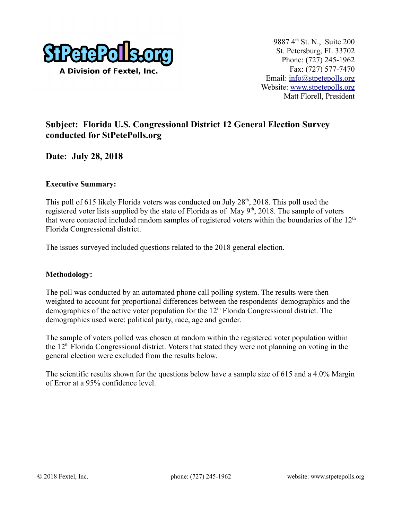

## **Subject: Florida U.S. Congressional District 12 General Election Survey conducted for StPetePolls.org**

**Date: July 28, 2018**

#### **Executive Summary:**

This poll of 615 likely Florida voters was conducted on July  $28<sup>th</sup>$ , 2018. This poll used the registered voter lists supplied by the state of Florida as of May  $9<sup>th</sup>$ , 2018. The sample of voters that were contacted included random samples of registered voters within the boundaries of the  $12<sup>th</sup>$ Florida Congressional district.

The issues surveyed included questions related to the 2018 general election.

#### **Methodology:**

The poll was conducted by an automated phone call polling system. The results were then weighted to account for proportional differences between the respondents' demographics and the demographics of the active voter population for the  $12<sup>th</sup>$  Florida Congressional district. The demographics used were: political party, race, age and gender.

The sample of voters polled was chosen at random within the registered voter population within the 12<sup>th</sup> Florida Congressional district. Voters that stated they were not planning on voting in the general election were excluded from the results below.

The scientific results shown for the questions below have a sample size of 615 and a 4.0% Margin of Error at a 95% confidence level.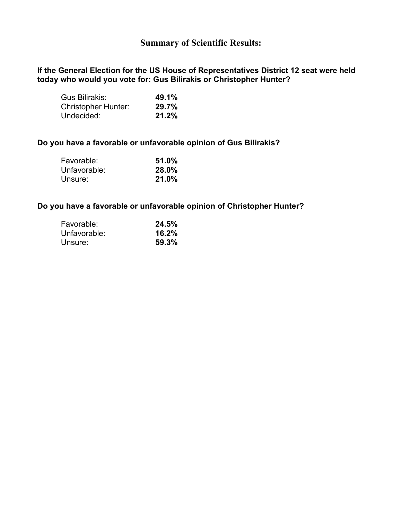## **Summary of Scientific Results:**

**If the General Election for the US House of Representatives District 12 seat were held today who would you vote for: Gus Bilirakis or Christopher Hunter?** 

| Gus Bilirakis:             | 49.1% |
|----------------------------|-------|
| <b>Christopher Hunter:</b> | 29.7% |
| Undecided:                 | 21.2% |

#### **Do you have a favorable or unfavorable opinion of Gus Bilirakis?**

| Favorable:   | 51.0% |
|--------------|-------|
| Unfavorable: | 28.0% |
| Unsure:      | 21.0% |

#### **Do you have a favorable or unfavorable opinion of Christopher Hunter?**

| Favorable:   | 24.5% |
|--------------|-------|
| Unfavorable: | 16.2% |
| Unsure:      | 59.3% |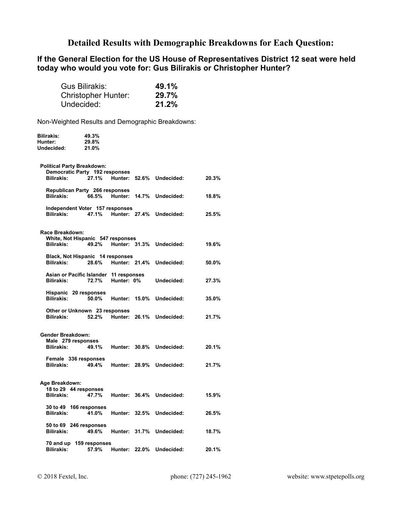### **Detailed Results with Demographic Breakdowns for Each Question:**

#### **If the General Election for the US House of Representatives District 12 seat were held today who would you vote for: Gus Bilirakis or Christopher Hunter?**

| Gus Bilirakis:             | 49.1% |
|----------------------------|-------|
| <b>Christopher Hunter:</b> | 29.7% |
| Undecided:                 | 21.2% |

Non-Weighted Results and Demographic Breakdowns:

| Bilirakis:<br>Hunter:<br>Undecided: | 49.3%<br>29.8%<br>21.0%                         |                      |       |                          |       |
|-------------------------------------|-------------------------------------------------|----------------------|-------|--------------------------|-------|
|                                     |                                                 |                      |       |                          |       |
| <b>Political Party Breakdown:</b>   | Democratic Party 192 responses                  |                      |       |                          |       |
| <b>Bilirakis:</b>                   | 27.1%                                           | Hunter:              | 52.6% | Undecided:               | 20.3% |
|                                     | Republican Party 266 responses                  |                      |       |                          |       |
| <b>Bilirakis:</b>                   |                                                 | 66.5% Hunter:        | 14.7% | Undecided:               | 18.8% |
| Bilirakis:                          | Independent Voter 157 responses                 | 47.1% Hunter: 27.4%  |       | Undecided:               | 25.5% |
| Race Breakdown:                     |                                                 |                      |       |                          |       |
|                                     | White, Not Hispanic 547 responses               |                      |       |                          |       |
| <b>Bilirakis:</b>                   | 49.2%                                           |                      |       | Hunter: 31.3% Undecided: | 19.6% |
|                                     | Black, Not Hispanic 14 responses                |                      |       |                          |       |
| <b>Bilirakis:</b>                   | 28.6%                                           | Hunter: 21.4%        |       | Undecided:               | 50.0% |
| <b>Bilirakis:</b>                   | Asian or Pacific Islander 11 responses<br>72.7% | Hunter: 0%           |       | Undecided:               | 27.3% |
| <b>Bilirakis:</b>                   | Hispanic 20 responses<br>50.0%                  | Hunter:              | 15.0% | Undecided:               | 35.0% |
|                                     |                                                 |                      |       |                          |       |
| <b>Bilirakis:</b>                   | Other or Unknown 23 responses<br>52.2%          | <b>Hunter: 26.1%</b> |       | Undecided:               | 21.7% |
| <b>Gender Breakdown:</b>            |                                                 |                      |       |                          |       |
| Male 279 responses                  |                                                 |                      |       |                          |       |
| <b>Bilirakis:</b>                   | 49.1%                                           |                      |       | Hunter: 30.8% Undecided: | 20.1% |
|                                     | Female 336 responses                            |                      |       |                          |       |
| <b>Bilirakis:</b>                   | 49.4%                                           |                      |       | Hunter: 28.9% Undecided: | 21.7% |
| Age Breakdown:                      |                                                 |                      |       |                          |       |
| 18 to 29 44 responses               |                                                 |                      |       |                          |       |
| <b>Bilirakis:</b>                   | 47.7%                                           |                      |       | Hunter: 36.4% Undecided: | 15.9% |
|                                     | 30 to 49 166 responses                          |                      |       |                          |       |
| <b>Bilirakis:</b>                   | 41.0%                                           | Hunter: 32.5%        |       | Undecided:               | 26.5% |
| <b>Bilirakis:</b>                   | 50 to 69 246 responses<br>49.6%                 | Hunter: 31.7%        |       | Undecided:               | 18.7% |
|                                     |                                                 |                      |       |                          |       |
| <b>Bilirakis:</b>                   | 70 and up 159 responses<br>57.9%                | Hunter: 22.0%        |       | Undecided:               | 20.1% |
|                                     |                                                 |                      |       |                          |       |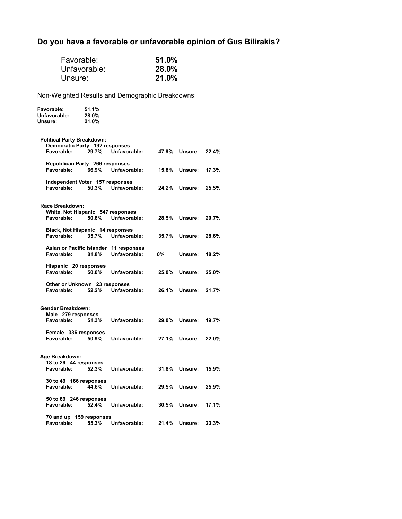# **Do you have a favorable or unfavorable opinion of Gus Bilirakis?**

| Favorable:<br>Unsure:                                                             | Unfavorable:            |                                                        | 51.0%<br>28.0%<br>21.0% |                      |       |
|-----------------------------------------------------------------------------------|-------------------------|--------------------------------------------------------|-------------------------|----------------------|-------|
| Non-Weighted Results and Demographic Breakdowns:                                  |                         |                                                        |                         |                      |       |
| Favorable:<br>Unfavorable:<br>Unsure:                                             | 51.1%<br>28.0%<br>21.0% |                                                        |                         |                      |       |
| <b>Political Party Breakdown:</b><br>Democratic Party 192 responses<br>Favorable: | 29.7%                   | Unfavorable:                                           |                         | 47.9% Unsure:        | 22.4% |
| Republican Party 266 responses<br>Favorable:                                      |                         | 66.9% Unfavorable:                                     |                         | <b>15.8% Unsure:</b> | 17.3% |
| Independent Voter 157 responses<br>Favorable:                                     | 50.3%                   | Unfavorable:                                           | 24.2%                   | Unsure:              | 25.5% |
| Race Breakdown:<br>White, Not Hispanic 547 responses<br>Favorable:                |                         | 50.8% Unfavorable:                                     |                         | 28.5% Unsure:        | 20.7% |
| Black, Not Hispanic 14 responses<br>Favorable:                                    | 35.7%                   | Unfavorable:                                           |                         | 35.7% Unsure:        | 28.6% |
| Favorable:                                                                        | 81.8%                   | Asian or Pacific Islander 11 responses<br>Unfavorable: | 0%                      | Unsure:              | 18.2% |
| Hispanic 20 responses<br>Favorable:                                               | 50.0%                   | Unfavorable:                                           |                         | 25.0% Unsure:        | 25.0% |
| Other or Unknown 23 responses<br>Favorable:                                       | 52.2%                   | Unfavorable:                                           | 26.1%                   | Unsure:              | 21.7% |
| <b>Gender Breakdown:</b><br>Male 279 responses<br>Favorable:                      | 51.3%                   | Unfavorable:                                           |                         | 29.0% Unsure:        | 19.7% |
| Female 336 responses<br>Favorable:                                                | 50.9%                   | Unfavorable:                                           | 27.1%                   | Unsure:              | 22.0% |
| Age Breakdown:<br>18 to 29 44 responses<br>Favorable:                             | 52.3%                   | Unfavorable:                                           |                         | 31.8% Unsure:        | 15.9% |
| 30 to 49 166 responses<br>Favorable:                                              | 44.6%                   | Unfavorable:                                           |                         | 29.5% Unsure:        | 25.9% |
| 50 to 69 246 responses<br>Favorable:                                              | 52.4%                   | Unfavorable:                                           | 30.5%                   | Unsure:              | 17.1% |
| 70 and up 159 responses<br>Favorable:                                             | 55.3%                   | Unfavorable:                                           | 21.4%                   | Unsure:              | 23.3% |